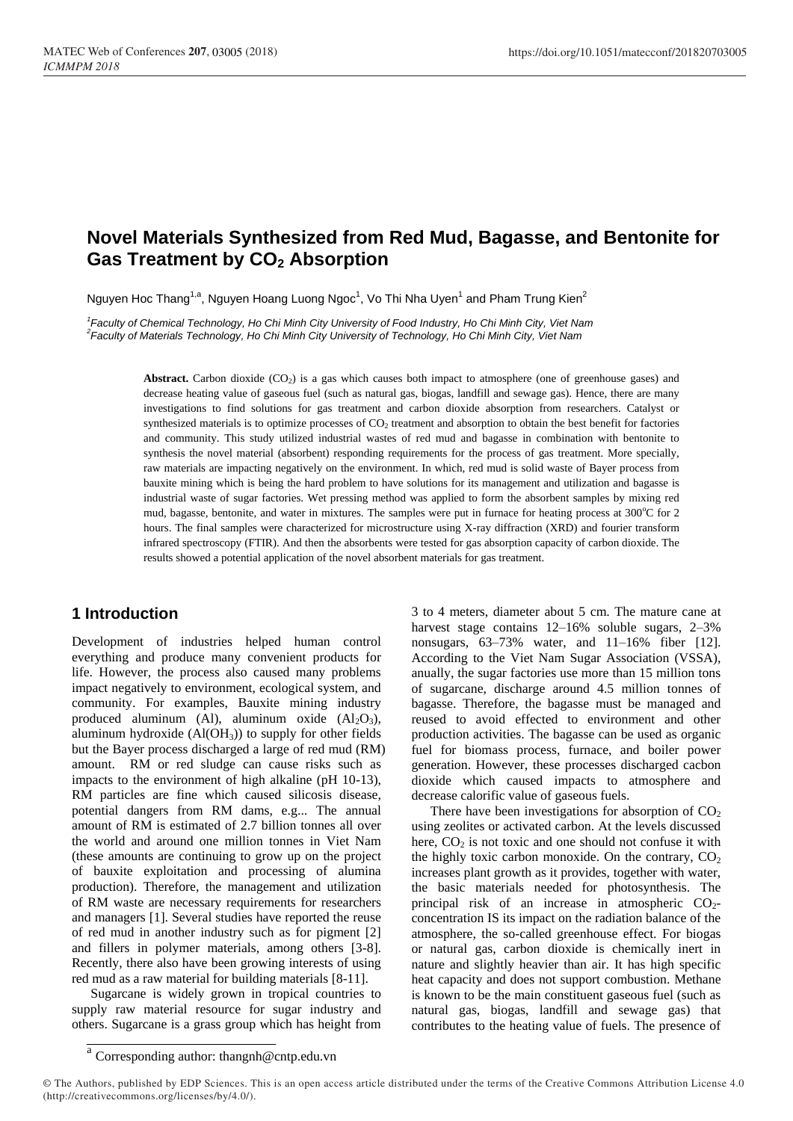# **Novel Materials Synthesized from Red Mud, Bagasse, and Bentonite for Gas Treatment by CO<sup>2</sup> Absorption**

Nguyen Hoc Thang<sup>1,a</sup>, Nguyen Hoang Luong Ngoc<sup>1</sup>, Vo Thi Nha Uyen<sup>1</sup> and Pham Trung Kien<sup>2</sup>

*1 Faculty of Chemical Technology, Ho Chi Minh City University of Food Industry, Ho Chi Minh City, Viet Nam 2 Faculty of Materials Technology, Ho Chi Minh City University of Technology, Ho Chi Minh City, Viet Nam*

> Abstract. Carbon dioxide (CO<sub>2</sub>) is a gas which causes both impact to atmosphere (one of greenhouse gases) and decrease heating value of gaseous fuel (such as natural gas, biogas, landfill and sewage gas). Hence, there are many investigations to find solutions for gas treatment and carbon dioxide absorption from researchers. Catalyst or synthesized materials is to optimize processes of CO<sub>2</sub> treatment and absorption to obtain the best benefit for factories and community. This study utilized industrial wastes of red mud and bagasse in combination with bentonite to synthesis the novel material (absorbent) responding requirements for the process of gas treatment. More specially, raw materials are impacting negatively on the environment. In which, red mud is solid waste of Bayer process from bauxite mining which is being the hard problem to have solutions for its management and utilization and bagasse is industrial waste of sugar factories. Wet pressing method was applied to form the absorbent samples by mixing red mud, bagasse, bentonite, and water in mixtures. The samples were put in furnace for heating process at 300°C for 2 hours. The final samples were characterized for microstructure using X-ray diffraction (XRD) and fourier transform infrared spectroscopy (FTIR). And then the absorbents were tested for gas absorption capacity of carbon dioxide. The results showed a potential application of the novel absorbent materials for gas treatment.

## **1 Introduction**

Development of industries helped human control everything and produce many convenient products for life. However, the process also caused many problems impact negatively to environment, ecological system, and community. For examples, Bauxite mining industry produced aluminum (Al), aluminum oxide  $(Al_2O_3)$ , aluminum hydroxide (Al(OH3)) to supply for other fields but the Bayer process discharged a large of red mud (RM) amount. RM or red sludge can cause risks such as impacts to the environment of high alkaline (pH 10-13), RM particles are fine which caused silicosis disease, potential dangers from RM dams, e.g... The annual amount of RM is estimated of 2.7 billion tonnes all over the world and around one million tonnes in Viet Nam (these amounts are continuing to grow up on the project of bauxite exploitation and processing of alumina production). Therefore, the management and utilization of RM waste are necessary requirements for researchers and managers [1]. Several studies have reported the reuse of red mud in another industry such as for pigment [2] and fillers in polymer materials, among others [3-8]. Recently, there also have been growing interests of using red mud as a raw material for building materials [8-11].

Sugarcane is widely grown in tropical countries to supply raw material resource for sugar industry and others. Sugarcane is a grass group which has height from

3 to 4 meters, diameter about 5 cm. The mature cane at harvest stage contains  $12-16\%$  soluble sugars,  $2-3\%$ nonsugars, 63–73% water, and 11–16% fiber [12]. According to the Viet Nam Sugar Association (VSSA), anually, the sugar factories use more than 15 million tons of sugarcane, discharge around 4.5 million tonnes of bagasse. Therefore, the bagasse must be managed and reused to avoid effected to environment and other production activities. The bagasse can be used as organic fuel for biomass process, furnace, and boiler power generation. However, these processes discharged cacbon dioxide which caused impacts to atmosphere and decrease calorific value of gaseous fuels.

There have been investigations for absorption of  $CO<sub>2</sub>$ using zeolites or activated carbon. At the levels discussed here,  $CO<sub>2</sub>$  is not toxic and one should not confuse it with the highly toxic carbon monoxide. On the contrary,  $CO<sub>2</sub>$ increases plant growth as it provides, together with water, the basic materials needed for photosynthesis. The principal risk of an increase in atmospheric  $CO<sub>2</sub>$ concentration IS its impact on the radiation balance of the atmosphere, the so-called greenhouse effect. For biogas or natural gas, carbon dioxide is chemically inert in nature and slightly heavier than air. It has high specific heat capacity and does not support combustion. Methane is known to be the main constituent gaseous fuel (such as natural gas, biogas, landfill and sewage gas) that contributes to the heating value of fuels. The presence of

a Corresponding author: thangnh@cntp.edu.vn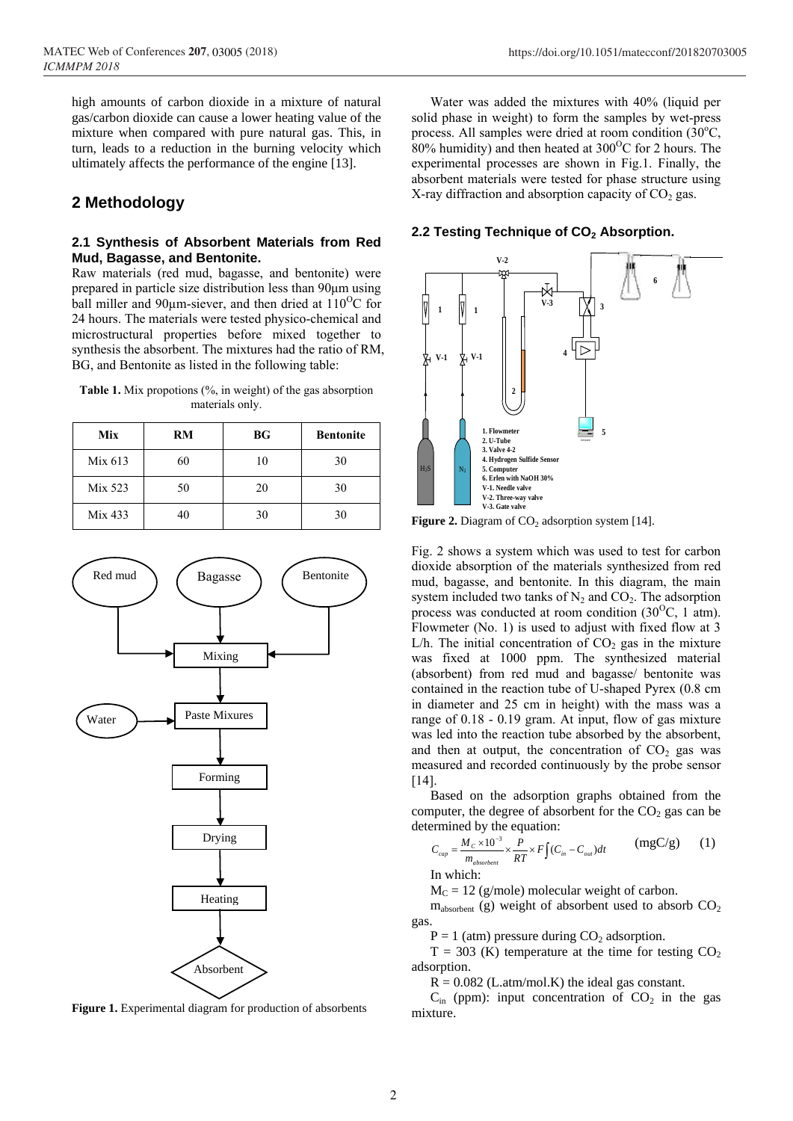## **2 Methodology**

#### **2.1 Synthesis of Absorbent Materials from Red Mud, Bagasse, and Bentonite.**

Raw materials (red mud, bagasse, and bentonite) were prepared in particle size distribution less than 90μm using ball miller and 90 $\mu$ m-siever, and then dried at 110<sup>o</sup>C for 24 hours. The materials were tested physico-chemical and microstructural properties before mixed together to synthesis the absorbent. The mixtures had the ratio of RM, BG, and Bentonite as listed in the following table:

**Table 1.** Mix propotions (%, in weight) of the gas absorption materials only.

| Mix     | RM | <b>BG</b> | <b>Bentonite</b> |
|---------|----|-----------|------------------|
| Mix 613 | 60 | 10        | 30               |
| Mix 523 | 50 | 20        | 30               |
| Mix 433 |    | 30        | 30               |



**Figure 1.** Experimental diagram for production of absorbents

Water was added the mixtures with 40% (liquid per solid phase in weight) to form the samples by wet-press process. All samples were dried at room condition  $(30^{\circ}C,$ 80% humidity) and then heated at  $300^{\circ}$ C for 2 hours. The experimental processes are shown in Fig.1. Finally, the absorbent materials were tested for phase structure using X-ray diffraction and absorption capacity of  $CO<sub>2</sub>$  gas.

#### **2.2 Testing Technique of CO<sup>2</sup> Absorption.**



**Figure 2.** Diagram of  $CO<sub>2</sub>$  adsorption system [14].

Fig. 2 shows a system which was used to test for carbon dioxide absorption of the materials synthesized from red mud, bagasse, and bentonite. In this diagram, the main system included two tanks of  $N_2$  and  $CO_2$ . The adsorption process was conducted at room condition  $(30^{\circ}C, 1 \text{ atm})$ . Flowmeter (No. 1) is used to adjust with fixed flow at 3 L/h. The initial concentration of  $CO<sub>2</sub>$  gas in the mixture was fixed at 1000 ppm. The synthesized material (absorbent) from red mud and bagasse/ bentonite was contained in the reaction tube of U-shaped Pyrex (0.8 cm in diameter and 25 cm in height) with the mass was a range of 0.18 - 0.19 gram. At input, flow of gas mixture was led into the reaction tube absorbed by the absorbent, and then at output, the concentration of  $CO<sub>2</sub>$  gas was measured and recorded continuously by the probe sensor [14].

Based on the adsorption graphs obtained from the computer, the degree of absorbent for the  $CO<sub>2</sub>$  gas can be determined by the equation:

$$
C_{cap} = \frac{M_c \times 10^{-3}}{m_{absorbent}} \times \frac{P}{RT} \times F \int (C_{in} - C_{out}) dt
$$
 (mgC/g) (1)

In which:

 $M<sub>C</sub> = 12$  (g/mole) molecular weight of carbon.

 $m<sub>absorben</sub>$  (g) weight of absorbent used to absorb  $CO<sub>2</sub>$ gas.

 $P = 1$  (atm) pressure during  $CO<sub>2</sub>$  adsorption.

 $T = 303$  (K) temperature at the time for testing  $CO<sub>2</sub>$ adsorption.

 $R = 0.082$  (L.atm/mol.K) the ideal gas constant.

 $C_{\text{in}}$  (ppm): input concentration of  $CO_2$  in the gas mixture.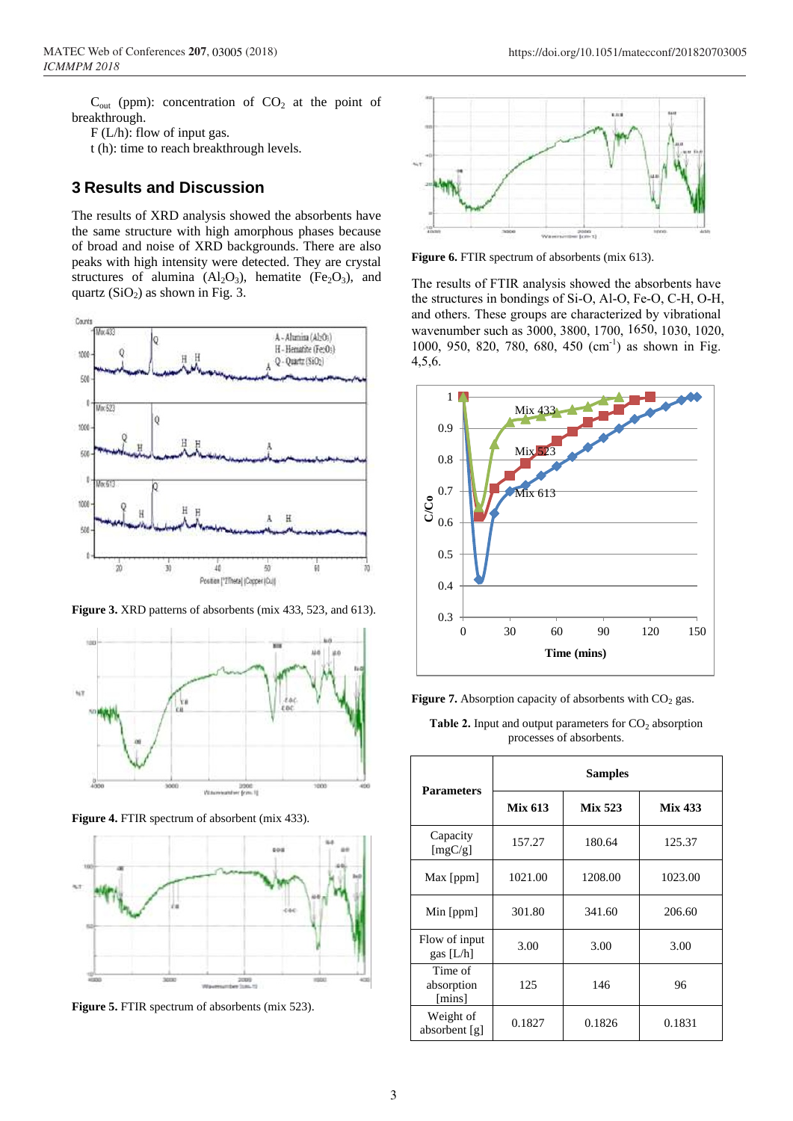https://doi.org/10.1051/matecconf/201820703005

 $C_{out}$  (ppm): concentration of  $CO<sub>2</sub>$  at the point of breakthrough.

F (L/h): flow of input gas.

t (h): time to reach breakthrough levels.

## **3 Results and Discussion**

The results of XRD analysis showed the absorbents have the same structure with high amorphous phases because of broad and noise of XRD backgrounds. There are also peaks with high intensity were detected. They are crystal structures of alumina  $(Al_2O_3)$ , hematite (Fe<sub>2</sub>O<sub>3</sub>), and quartz  $(SiO<sub>2</sub>)$  as shown in Fig. 3.



**Figure 3.** XRD patterns of absorbents (mix 433, 523, and 613).



**Figure 4.** FTIR spectrum of absorbent (mix 433).



**Figure 5.** FTIR spectrum of absorbents (mix 523).



**Figure 6.** FTIR spectrum of absorbents (mix 613).

The results of FTIR analysis showed the absorbents have the structures in bondings of Si-O, Al-O, Fe-O, C-H, O-H, and others. These groups are characterized by vibrational wavenumber such as 3000, 3800, 1700, 1650, 1030, 1020, 1000, 950, 820, 780, 680, 450 (cm<sup>-1</sup>) as shown in Fig. 4,5,6.



**Figure 7.** Absorption capacity of absorbents with  $CO<sub>2</sub>$  gas.

**Table 2.** Input and output parameters for  $CO<sub>2</sub>$  absorption processes of absorbents.

| <b>Parameters</b>                       | <b>Samples</b> |                |                |
|-----------------------------------------|----------------|----------------|----------------|
|                                         | <b>Mix 613</b> | <b>Mix 523</b> | <b>Mix 433</b> |
| Capacity<br>[mgC/g]                     | 157.27         | 180.64         | 125.37         |
| Max [ppm]                               | 1021.00        | 1208.00        | 1023.00        |
| Min $[ppm]$                             | 301.80         | 341.60         | 206.60         |
| Flow of input<br>gas $[L/h]$            | 3.00           | 3.00           | 3.00           |
| Time of<br>absorption<br>${\rm [mins]}$ | 125            | 146            | 96             |
| Weight of<br>absorbent [g]              | 0.1827         | 0.1826         | 0.1831         |